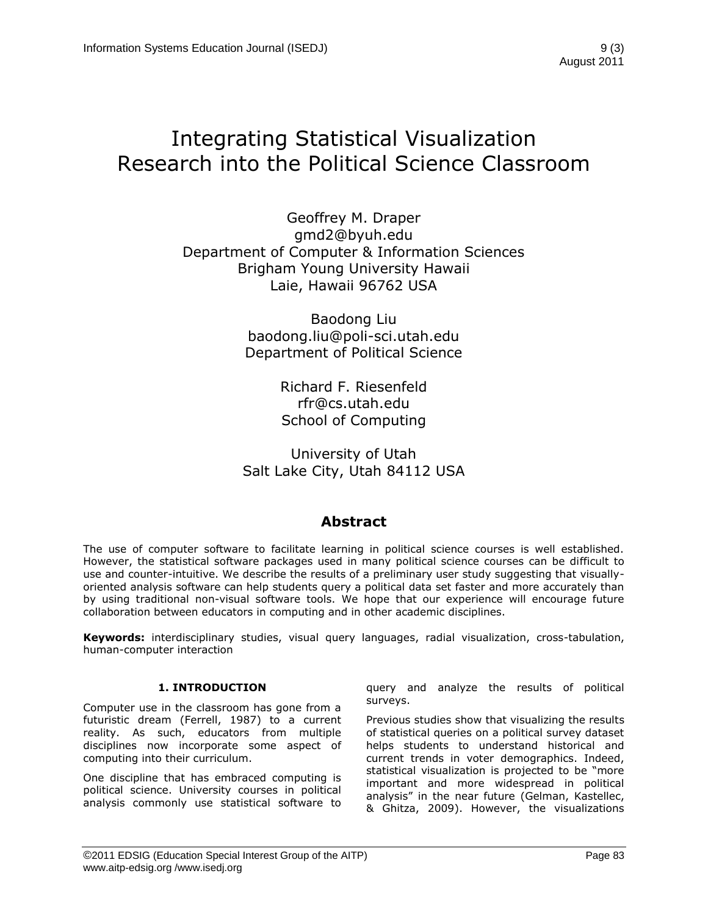# Integrating Statistical Visualization Research into the Political Science Classroom

Geoffrey M. Draper gmd2@byuh.edu Department of Computer & Information Sciences Brigham Young University Hawaii Laie, Hawaii 96762 USA

> Baodong Liu baodong.liu@poli-sci.utah.edu Department of Political Science

> > Richard F. Riesenfeld rfr@cs.utah.edu School of Computing

University of Utah Salt Lake City, Utah 84112 USA

### **Abstract**

The use of computer software to facilitate learning in political science courses is well established. However, the statistical software packages used in many political science courses can be difficult to use and counter-intuitive. We describe the results of a preliminary user study suggesting that visuallyoriented analysis software can help students query a political data set faster and more accurately than by using traditional non-visual software tools. We hope that our experience will encourage future collaboration between educators in computing and in other academic disciplines.

**Keywords:** interdisciplinary studies, visual query languages, radial visualization, cross-tabulation, human-computer interaction

#### **1. INTRODUCTION**

Computer use in the classroom has gone from a futuristic dream (Ferrell, 1987) to a current reality. As such, educators from multiple disciplines now incorporate some aspect of computing into their curriculum.

One discipline that has embraced computing is political science. University courses in political analysis commonly use statistical software to query and analyze the results of political surveys.

Previous studies show that visualizing the results of statistical queries on a political survey dataset helps students to understand historical and current trends in voter demographics. Indeed, statistical visualization is projected to be "more important and more widespread in political analysis" in the near future (Gelman, Kastellec, & Ghitza, 2009). However, the visualizations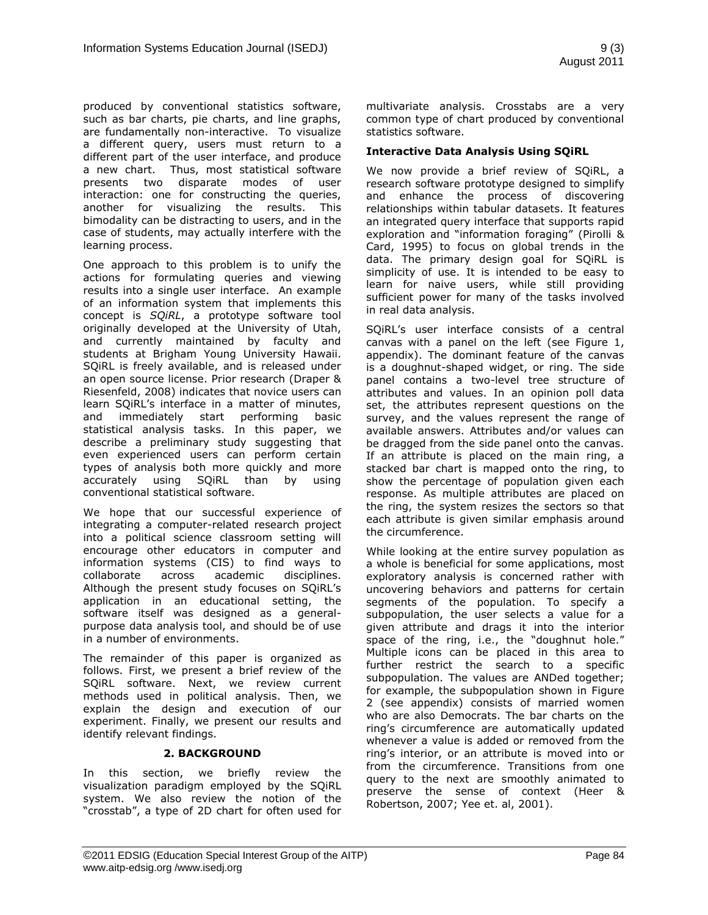produced by conventional statistics software, such as bar charts, pie charts, and line graphs, are fundamentally non-interactive. To visualize a different query, users must return to a different part of the user interface, and produce a new chart. Thus, most statistical software presents two disparate modes of user interaction: one for constructing the queries, another for visualizing the results. This bimodality can be distracting to users, and in the case of students, may actually interfere with the learning process.

One approach to this problem is to unify the actions for formulating queries and viewing results into a single user interface. An example of an information system that implements this concept is *SQiRL*, a prototype software tool originally developed at the University of Utah, and currently maintained by faculty and students at Brigham Young University Hawaii. SQiRL is freely available, and is released under an open source license. Prior research (Draper & Riesenfeld, 2008) indicates that novice users can learn SQiRL's interface in a matter of minutes, and immediately start performing basic statistical analysis tasks. In this paper, we describe a preliminary study suggesting that even experienced users can perform certain types of analysis both more quickly and more accurately using SQiRL than by using conventional statistical software.

We hope that our successful experience of integrating a computer-related research project into a political science classroom setting will encourage other educators in computer and information systems (CIS) to find ways to collaborate across academic disciplines. Although the present study focuses on SQiRL's application in an educational setting, the software itself was designed as a generalpurpose data analysis tool, and should be of use in a number of environments.

The remainder of this paper is organized as follows. First, we present a brief review of the SQiRL software. Next, we review current methods used in political analysis. Then, we explain the design and execution of our experiment. Finally, we present our results and identify relevant findings.

#### **2. BACKGROUND**

In this section, we briefly review the visualization paradigm employed by the SQiRL system. We also review the notion of the "crosstab", a type of 2D chart for often used for

multivariate analysis. Crosstabs are a very common type of chart produced by conventional statistics software.

#### **Interactive Data Analysis Using SQiRL**

We now provide a brief review of SQiRL, a research software prototype designed to simplify and enhance the process of discovering relationships within tabular datasets. It features an integrated query interface that supports rapid exploration and "information foraging" (Pirolli & Card, 1995) to focus on global trends in the data. The primary design goal for SQiRL is simplicity of use. It is intended to be easy to learn for naive users, while still providing sufficient power for many of the tasks involved in real data analysis.

SQiRL's user interface consists of a central canvas with a panel on the left (see Figure 1, appendix). The dominant feature of the canvas is a doughnut-shaped widget, or ring. The side panel contains a two-level tree structure of attributes and values. In an opinion poll data set, the attributes represent questions on the survey, and the values represent the range of available answers. Attributes and/or values can be dragged from the side panel onto the canvas. If an attribute is placed on the main ring, a stacked bar chart is mapped onto the ring, to show the percentage of population given each response. As multiple attributes are placed on the ring, the system resizes the sectors so that each attribute is given similar emphasis around the circumference.

While looking at the entire survey population as a whole is beneficial for some applications, most exploratory analysis is concerned rather with uncovering behaviors and patterns for certain segments of the population. To specify a subpopulation, the user selects a value for a given attribute and drags it into the interior space of the ring, i.e., the "doughnut hole." Multiple icons can be placed in this area to further restrict the search to a specific subpopulation. The values are ANDed together; for example, the subpopulation shown in Figure 2 (see appendix) consists of married women who are also Democrats. The bar charts on the ring's circumference are automatically updated whenever a value is added or removed from the ring's interior, or an attribute is moved into or from the circumference. Transitions from one query to the next are smoothly animated to preserve the sense of context (Heer & Robertson, 2007; Yee et. al, 2001).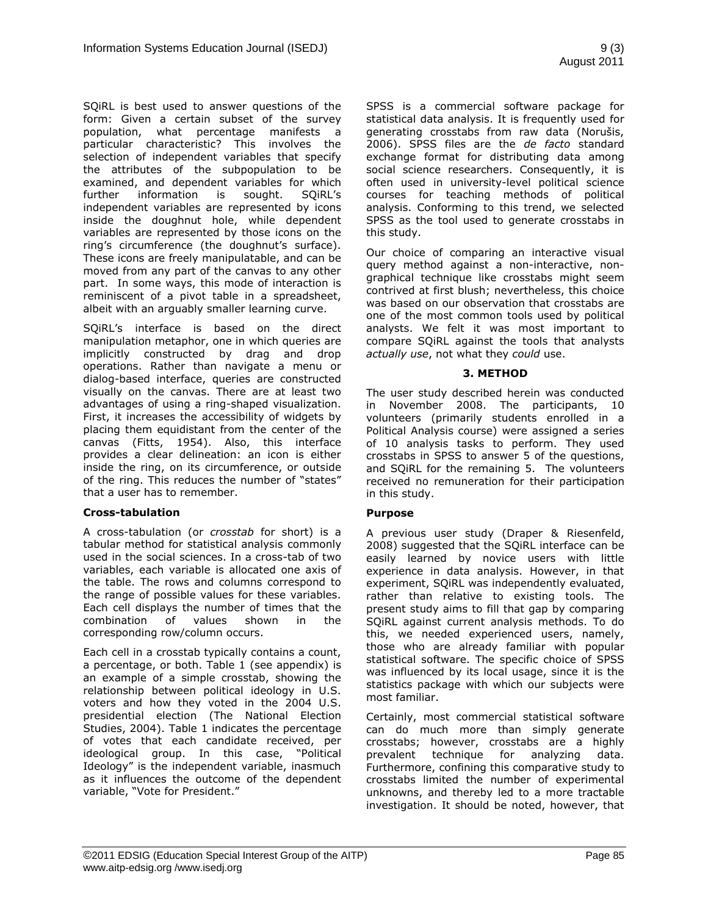SQiRL is best used to answer questions of the form: Given a certain subset of the survey population, what percentage manifests a particular characteristic? This involves the selection of independent variables that specify the attributes of the subpopulation to be examined, and dependent variables for which further information is sought. SQiRL's independent variables are represented by icons inside the doughnut hole, while dependent variables are represented by those icons on the ring's circumference (the doughnut's surface). These icons are freely manipulatable, and can be moved from any part of the canvas to any other part. In some ways, this mode of interaction is reminiscent of a pivot table in a spreadsheet, albeit with an arguably smaller learning curve.

SQiRL's interface is based on the direct manipulation metaphor, one in which queries are implicitly constructed by drag and drop operations. Rather than navigate a menu or dialog-based interface, queries are constructed visually on the canvas. There are at least two advantages of using a ring-shaped visualization. First, it increases the accessibility of widgets by placing them equidistant from the center of the canvas (Fitts, 1954). Also, this interface provides a clear delineation: an icon is either inside the ring, on its circumference, or outside of the ring. This reduces the number of "states" that a user has to remember.

#### **Cross-tabulation**

A cross-tabulation (or *crosstab* for short) is a tabular method for statistical analysis commonly used in the social sciences. In a cross-tab of two variables, each variable is allocated one axis of the table. The rows and columns correspond to the range of possible values for these variables. Each cell displays the number of times that the combination of values shown in the corresponding row/column occurs.

Each cell in a crosstab typically contains a count, a percentage, or both. Table 1 (see appendix) is an example of a simple crosstab, showing the relationship between political ideology in U.S. voters and how they voted in the 2004 U.S. presidential election (The National Election Studies, 2004). Table 1 indicates the percentage of votes that each candidate received, per ideological group. In this case, "Political Ideology" is the independent variable, inasmuch as it influences the outcome of the dependent variable, "Vote for President."

SPSS is a commercial software package for statistical data analysis. It is frequently used for generating crosstabs from raw data (Norušis, 2006). SPSS files are the *de facto* standard exchange format for distributing data among social science researchers. Consequently, it is often used in university-level political science courses for teaching methods of political analysis. Conforming to this trend, we selected SPSS as the tool used to generate crosstabs in this study.

Our choice of comparing an interactive visual query method against a non-interactive, nongraphical technique like crosstabs might seem contrived at first blush; nevertheless, this choice was based on our observation that crosstabs are one of the most common tools used by political analysts. We felt it was most important to compare SQiRL against the tools that analysts *actually use*, not what they *could* use.

#### **3. METHOD**

The user study described herein was conducted in November 2008. The participants, 10 volunteers (primarily students enrolled in a Political Analysis course) were assigned a series of 10 analysis tasks to perform. They used crosstabs in SPSS to answer 5 of the questions, and SQiRL for the remaining 5. The volunteers received no remuneration for their participation in this study.

#### **Purpose**

A previous user study (Draper & Riesenfeld, 2008) suggested that the SQiRL interface can be easily learned by novice users with little experience in data analysis. However, in that experiment, SQiRL was independently evaluated, rather than relative to existing tools. The present study aims to fill that gap by comparing SQiRL against current analysis methods. To do this, we needed experienced users, namely, those who are already familiar with popular statistical software. The specific choice of SPSS was influenced by its local usage, since it is the statistics package with which our subjects were most familiar.

Certainly, most commercial statistical software can do much more than simply generate crosstabs; however, crosstabs are a highly prevalent technique for analyzing data. Furthermore, confining this comparative study to crosstabs limited the number of experimental unknowns, and thereby led to a more tractable investigation. It should be noted, however, that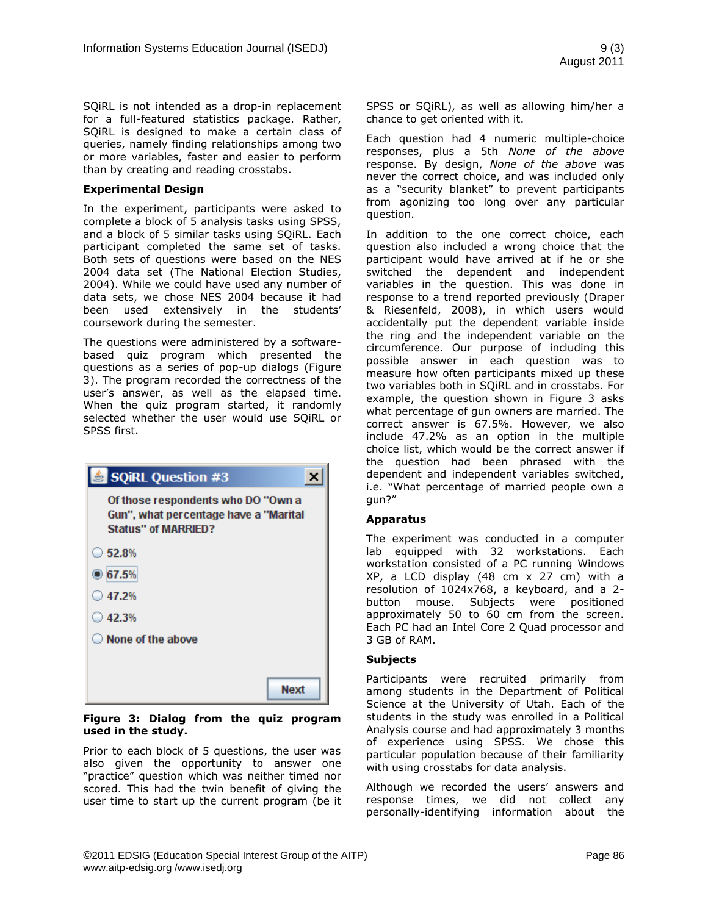SQiRL is not intended as a drop-in replacement for a full-featured statistics package. Rather, SQiRL is designed to make a certain class of queries, namely finding relationships among two or more variables, faster and easier to perform than by creating and reading crosstabs.

#### **Experimental Design**

In the experiment, participants were asked to complete a block of 5 analysis tasks using SPSS, and a block of 5 similar tasks using SQiRL. Each participant completed the same set of tasks. Both sets of questions were based on the NES 2004 data set (The National Election Studies, 2004). While we could have used any number of data sets, we chose NES 2004 because it had been used extensively in the students' coursework during the semester.

The questions were administered by a softwarebased quiz program which presented the questions as a series of pop-up dialogs (Figure 3). The program recorded the correctness of the user's answer, as well as the elapsed time. When the quiz program started, it randomly selected whether the user would use SQiRL or SPSS first.

| SQIRL Question #3                                                                                  |
|----------------------------------------------------------------------------------------------------|
| Of those respondents who DO "Own a<br>Gun", what percentage have a "Marital<br>Status" of MARRIED? |
| $\bigcirc$ 52.8%                                                                                   |
| • 67.5%                                                                                            |
| $\bigcirc$ 47.2%                                                                                   |
| $\bigcirc$ 42.3%                                                                                   |
| $\bigcirc$ None of the above                                                                       |
|                                                                                                    |
| <b>Next</b>                                                                                        |

#### **Figure 3: Dialog from the quiz program used in the study.**

Prior to each block of 5 questions, the user was also given the opportunity to answer one "practice" question which was neither timed nor scored. This had the twin benefit of giving the user time to start up the current program (be it

SPSS or SQiRL), as well as allowing him/her a chance to get oriented with it.

Each question had 4 numeric multiple-choice responses, plus a 5th *None of the above* response. By design, *None of the above* was never the correct choice, and was included only as a "security blanket" to prevent participants from agonizing too long over any particular question.

In addition to the one correct choice, each question also included a wrong choice that the participant would have arrived at if he or she switched the dependent and independent variables in the question. This was done in response to a trend reported previously (Draper & Riesenfeld, 2008), in which users would accidentally put the dependent variable inside the ring and the independent variable on the circumference. Our purpose of including this possible answer in each question was to measure how often participants mixed up these two variables both in SQiRL and in crosstabs. For example, the question shown in Figure 3 asks what percentage of gun owners are married. The correct answer is 67.5%. However, we also include 47.2% as an option in the multiple choice list, which would be the correct answer if the question had been phrased with the dependent and independent variables switched, i.e. "What percentage of married people own a gun?"

#### **Apparatus**

The experiment was conducted in a computer lab equipped with 32 workstations. Each workstation consisted of a PC running Windows XP, a LCD display (48 cm x 27 cm) with a resolution of 1024x768, a keyboard, and a 2 button mouse. Subjects were positioned approximately 50 to 60 cm from the screen. Each PC had an Intel Core 2 Quad processor and 3 GB of RAM.

#### **Subjects**

Participants were recruited primarily from among students in the Department of Political Science at the University of Utah. Each of the students in the study was enrolled in a Political Analysis course and had approximately 3 months of experience using SPSS. We chose this particular population because of their familiarity with using crosstabs for data analysis.

Although we recorded the users' answers and response times, we did not collect any personally-identifying information about the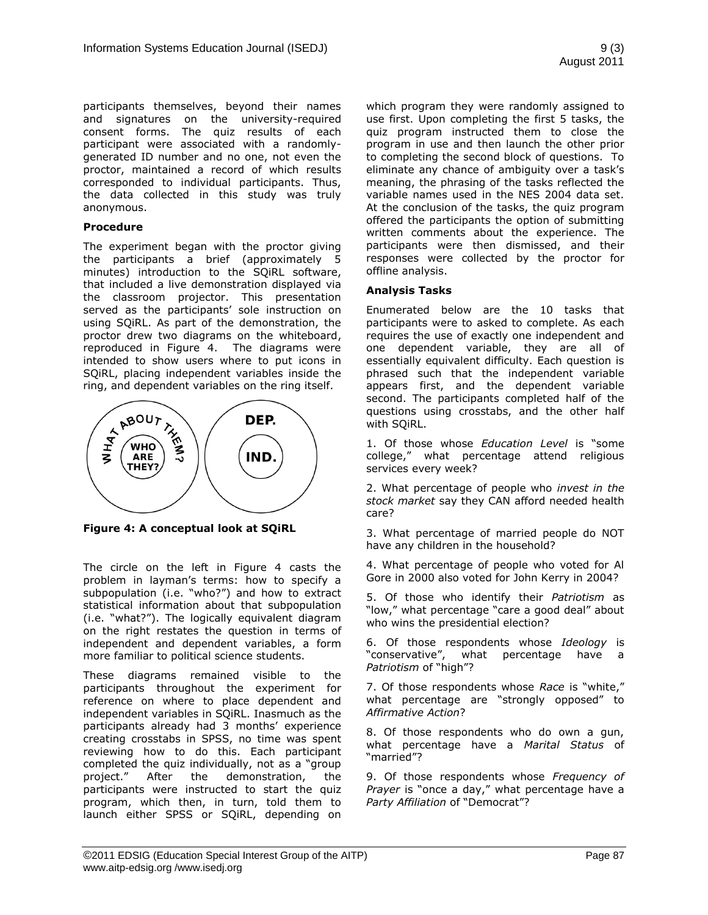participants themselves, beyond their names and signatures on the university-required consent forms. The quiz results of each participant were associated with a randomlygenerated ID number and no one, not even the proctor, maintained a record of which results corresponded to individual participants. Thus, the data collected in this study was truly anonymous.

#### **Procedure**

The experiment began with the proctor giving the participants a brief (approximately 5 minutes) introduction to the SQiRL software, that included a live demonstration displayed via the classroom projector. This presentation served as the participants' sole instruction on using SQiRL. As part of the demonstration, the proctor drew two diagrams on the whiteboard, reproduced in Figure 4. The diagrams were intended to show users where to put icons in SQiRL, placing independent variables inside the ring, and dependent variables on the ring itself.



**Figure 4: A conceptual look at SQiRL**

The circle on the left in Figure 4 casts the problem in layman's terms: how to specify a subpopulation (i.e. "who?") and how to extract statistical information about that subpopulation (i.e. "what?"). The logically equivalent diagram on the right restates the question in terms of independent and dependent variables, a form more familiar to political science students.

These diagrams remained visible to the participants throughout the experiment for reference on where to place dependent and independent variables in SQiRL. Inasmuch as the participants already had 3 months' experience creating crosstabs in SPSS, no time was spent reviewing how to do this. Each participant completed the quiz individually, not as a "group project." After the demonstration, the participants were instructed to start the quiz program, which then, in turn, told them to launch either SPSS or SQiRL, depending on which program they were randomly assigned to use first. Upon completing the first 5 tasks, the quiz program instructed them to close the program in use and then launch the other prior to completing the second block of questions. To eliminate any chance of ambiguity over a task's meaning, the phrasing of the tasks reflected the variable names used in the NES 2004 data set. At the conclusion of the tasks, the quiz program offered the participants the option of submitting written comments about the experience. The participants were then dismissed, and their responses were collected by the proctor for offline analysis.

#### **Analysis Tasks**

Enumerated below are the 10 tasks that participants were to asked to complete. As each requires the use of exactly one independent and one dependent variable, they are all of essentially equivalent difficulty. Each question is phrased such that the independent variable appears first, and the dependent variable second. The participants completed half of the questions using crosstabs, and the other half with SQiRL.

1. Of those whose *Education Level* is "some college," what percentage attend religious services every week?

2. What percentage of people who *invest in the stock market* say they CAN afford needed health care?

3. What percentage of married people do NOT have any children in the household?

4. What percentage of people who voted for Al Gore in 2000 also voted for John Kerry in 2004?

5. Of those who identify their *Patriotism* as "low," what percentage "care a good deal" about who wins the presidential election?

6. Of those respondents whose *Ideology* is "conservative", what percentage have a *Patriotism* of "high"?

7. Of those respondents whose *Race* is "white," what percentage are "strongly opposed" to *Affirmative Action*?

8. Of those respondents who do own a gun, what percentage have a *Marital Status* of "married"?

9. Of those respondents whose *Frequency of Prayer* is "once a day," what percentage have a *Party Affiliation* of "Democrat"?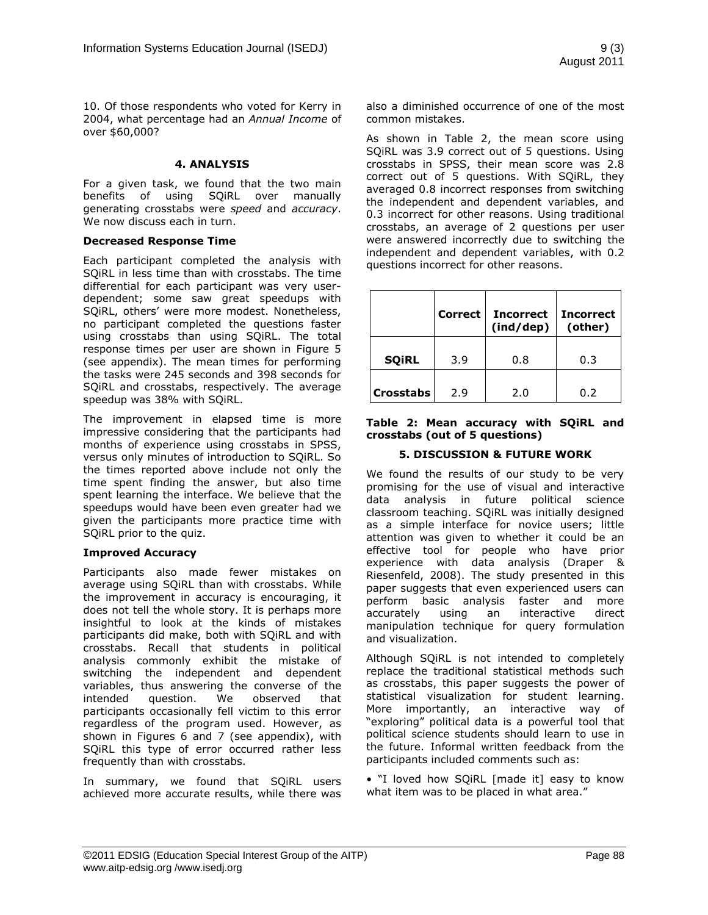10. Of those respondents who voted for Kerry in 2004, what percentage had an *Annual Income* of over \$60,000?

#### **4. ANALYSIS**

For a given task, we found that the two main benefits of using SQiRL over manually generating crosstabs were *speed* and *accuracy*. We now discuss each in turn.

#### **Decreased Response Time**

Each participant completed the analysis with SQiRL in less time than with crosstabs. The time differential for each participant was very userdependent; some saw great speedups with SQiRL, others' were more modest. Nonetheless, no participant completed the questions faster using crosstabs than using SQiRL. The total response times per user are shown in Figure 5 (see appendix). The mean times for performing the tasks were 245 seconds and 398 seconds for SQiRL and crosstabs, respectively. The average speedup was 38% with SQiRL.

The improvement in elapsed time is more impressive considering that the participants had months of experience using crosstabs in SPSS, versus only minutes of introduction to SQiRL. So the times reported above include not only the time spent finding the answer, but also time spent learning the interface. We believe that the speedups would have been even greater had we given the participants more practice time with SQiRL prior to the quiz.

#### **Improved Accuracy**

Participants also made fewer mistakes on average using SQiRL than with crosstabs. While the improvement in accuracy is encouraging, it does not tell the whole story. It is perhaps more insightful to look at the kinds of mistakes participants did make, both with SQiRL and with crosstabs. Recall that students in political analysis commonly exhibit the mistake of switching the independent and dependent variables, thus answering the converse of the intended question. We observed that participants occasionally fell victim to this error regardless of the program used. However, as shown in Figures 6 and 7 (see appendix), with SQiRL this type of error occurred rather less frequently than with crosstabs.

In summary, we found that SQiRL users achieved more accurate results, while there was also a diminished occurrence of one of the most common mistakes.

As shown in Table 2, the mean score using SQiRL was 3.9 correct out of 5 questions. Using crosstabs in SPSS, their mean score was 2.8 correct out of 5 questions. With SQiRL, they averaged 0.8 incorrect responses from switching the independent and dependent variables, and 0.3 incorrect for other reasons. Using traditional crosstabs, an average of 2 questions per user were answered incorrectly due to switching the independent and dependent variables, with 0.2 questions incorrect for other reasons.

|                  | Correct | <b>Incorrect</b><br>(ind/dep) | <b>Incorrect</b><br>(other) |
|------------------|---------|-------------------------------|-----------------------------|
| <b>SQIRL</b>     | 3.9     | 0.8                           | 0.3                         |
| <b>Crosstabs</b> | 2.9     | 2.0                           | 0.2                         |

#### **Table 2: Mean accuracy with SQiRL and crosstabs (out of 5 questions)**

#### **5. DISCUSSION & FUTURE WORK**

We found the results of our study to be very promising for the use of visual and interactive data analysis in future political science classroom teaching. SQiRL was initially designed as a simple interface for novice users; little attention was given to whether it could be an effective tool for people who have prior experience with data analysis (Draper & Riesenfeld, 2008). The study presented in this paper suggests that even experienced users can perform basic analysis faster and more accurately using an interactive direct manipulation technique for query formulation and visualization.

Although SQiRL is not intended to completely replace the traditional statistical methods such as crosstabs, this paper suggests the power of statistical visualization for student learning. More importantly, an interactive way of "exploring" political data is a powerful tool that political science students should learn to use in the future. Informal written feedback from the participants included comments such as:

• "I loved how SQiRL [made it] easy to know what item was to be placed in what area."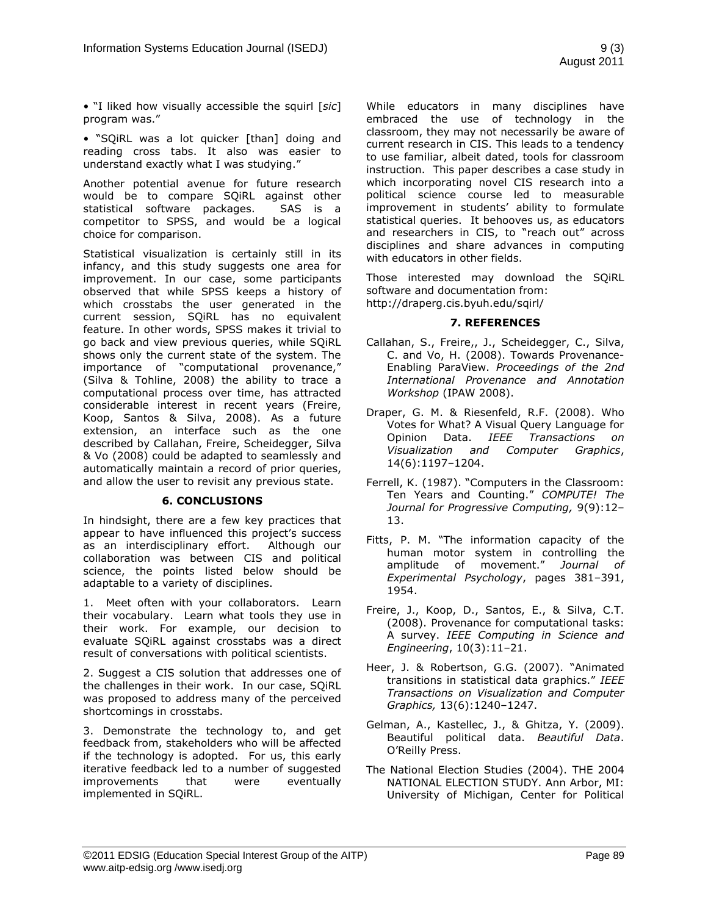• "I liked how visually accessible the squirl [*sic*] program was."

• "SQiRL was a lot quicker [than] doing and reading cross tabs. It also was easier to understand exactly what I was studying."

Another potential avenue for future research would be to compare SQiRL against other statistical software packages. SAS is a competitor to SPSS, and would be a logical choice for comparison.

Statistical visualization is certainly still in its infancy, and this study suggests one area for improvement. In our case, some participants observed that while SPSS keeps a history of which crosstabs the user generated in the current session, SQiRL has no equivalent feature. In other words, SPSS makes it trivial to go back and view previous queries, while SQiRL shows only the current state of the system. The importance of "computational provenance," (Silva & Tohline, 2008) the ability to trace a computational process over time, has attracted considerable interest in recent years (Freire, Koop, Santos & Silva, 2008). As a future extension, an interface such as the one described by Callahan, Freire, Scheidegger, Silva & Vo (2008) could be adapted to seamlessly and automatically maintain a record of prior queries, and allow the user to revisit any previous state.

#### **6. CONCLUSIONS**

In hindsight, there are a few key practices that appear to have influenced this project's success as an interdisciplinary effort. Although our collaboration was between CIS and political science, the points listed below should be adaptable to a variety of disciplines.

1. Meet often with your collaborators. Learn their vocabulary. Learn what tools they use in their work. For example, our decision to evaluate SQiRL against crosstabs was a direct result of conversations with political scientists.

2. Suggest a CIS solution that addresses one of the challenges in their work. In our case, SQiRL was proposed to address many of the perceived shortcomings in crosstabs.

3. Demonstrate the technology to, and get feedback from, stakeholders who will be affected if the technology is adopted. For us, this early iterative feedback led to a number of suggested improvements that were eventually implemented in SQiRL.

While educators in many disciplines have embraced the use of technology in the classroom, they may not necessarily be aware of current research in CIS. This leads to a tendency to use familiar, albeit dated, tools for classroom instruction. This paper describes a case study in which incorporating novel CIS research into a political science course led to measurable improvement in students' ability to formulate statistical queries. It behooves us, as educators and researchers in CIS, to "reach out" across disciplines and share advances in computing with educators in other fields.

Those interested may download the SQiRL software and documentation from: http://draperg.cis.byuh.edu/sqirl/

#### **7. REFERENCES**

- Callahan, S., Freire,, J., Scheidegger, C., Silva, C. and Vo, H. (2008). Towards Provenance-Enabling ParaView. *Proceedings of the 2nd International Provenance and Annotation Workshop* (IPAW 2008).
- Draper, G. M. & Riesenfeld, R.F. (2008). Who Votes for What? A Visual Query Language for Opinion Data. *IEEE Transactions on Visualization and Computer Graphics*, 14(6):1197–1204.
- Ferrell, K. (1987). "Computers in the Classroom: Ten Years and Counting." *COMPUTE! The Journal for Progressive Computing,* 9(9):12– 13.
- Fitts, P. M. "The information capacity of the human motor system in controlling the amplitude of movement." *Journal of Experimental Psychology*, pages 381–391, 1954.
- Freire, J., Koop, D., Santos, E., & Silva, C.T. (2008). Provenance for computational tasks: A survey. *IEEE Computing in Science and Engineering*, 10(3):11–21.
- Heer, J. & Robertson, G.G. (2007). "Animated transitions in statistical data graphics." *IEEE Transactions on Visualization and Computer Graphics,* 13(6):1240–1247.
- Gelman, A., Kastellec, J., & Ghitza, Y. (2009). Beautiful political data. *Beautiful Data*. O'Reilly Press.
- The National Election Studies (2004). THE 2004 NATIONAL ELECTION STUDY. Ann Arbor, MI: University of Michigan, Center for Political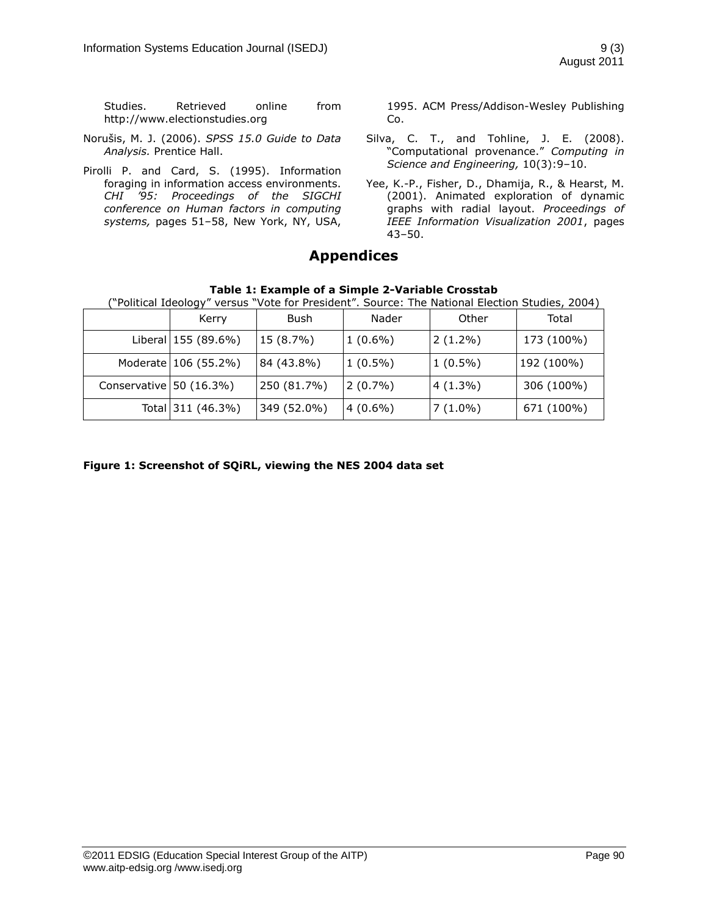Studies. Retrieved online from http://www.electionstudies.org

- Norušis, M. J. (2006). *SPSS 15.0 Guide to Data Analysis.* Prentice Hall.
- Pirolli P. and Card, S. (1995). Information foraging in information access environments. *CHI '95: Proceedings of the SIGCHI conference on Human factors in computing systems,* pages 51–58, New York, NY, USA,

1995. ACM Press/Addison-Wesley Publishing Co.

- Silva, C. T., and Tohline, J. E. (2008). "Computational provenance." *Computing in Science and Engineering,* 10(3):9–10.
- Yee, K.-P., Fisher, D., Dhamija, R., & Hearst, M. (2001). Animated exploration of dynamic graphs with radial layout. *Proceedings of IEEE Information Visualization 2001*, pages 43–50.

## **Appendices**

|  | Table 1: Example of a Simple 2-Variable Crosstab |  |  |  |
|--|--------------------------------------------------|--|--|--|
|--|--------------------------------------------------|--|--|--|

| ("Political Ideology" versus "Vote for President". Source: The National Election Studies, 2004) |                      |             |            |            |            |  |
|-------------------------------------------------------------------------------------------------|----------------------|-------------|------------|------------|------------|--|
|                                                                                                 | Kerry                | Bush        | Nader      | Other      | Total      |  |
|                                                                                                 | Liberal 155 (89.6%)  | 15 (8.7%)   | $1(0.6\%)$ | $2(1.2\%)$ | 173 (100%) |  |
|                                                                                                 | Moderate 106 (55.2%) | 84 (43.8%)  | $1(0.5\%)$ | $1(0.5\%)$ | 192 (100%) |  |
| Conservative $50(16.3%)$                                                                        |                      | 250 (81.7%) | $2(0.7\%)$ | $4(1.3\%)$ | 306 (100%) |  |
|                                                                                                 | Total 311 (46.3%)    | 349 (52.0%) | $4(0.6\%)$ | $7(1.0\%)$ | 671 (100%) |  |

**Figure 1: Screenshot of SQiRL, viewing the NES 2004 data set**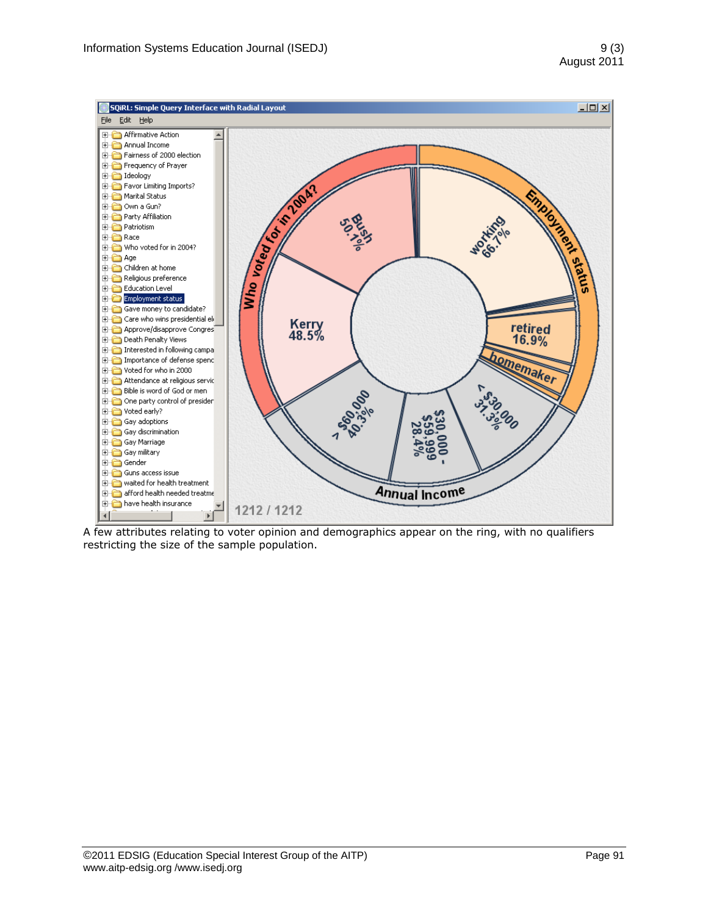

A few attributes relating to voter opinion and demographics appear on the ring, with no qualifiers restricting the size of the sample population.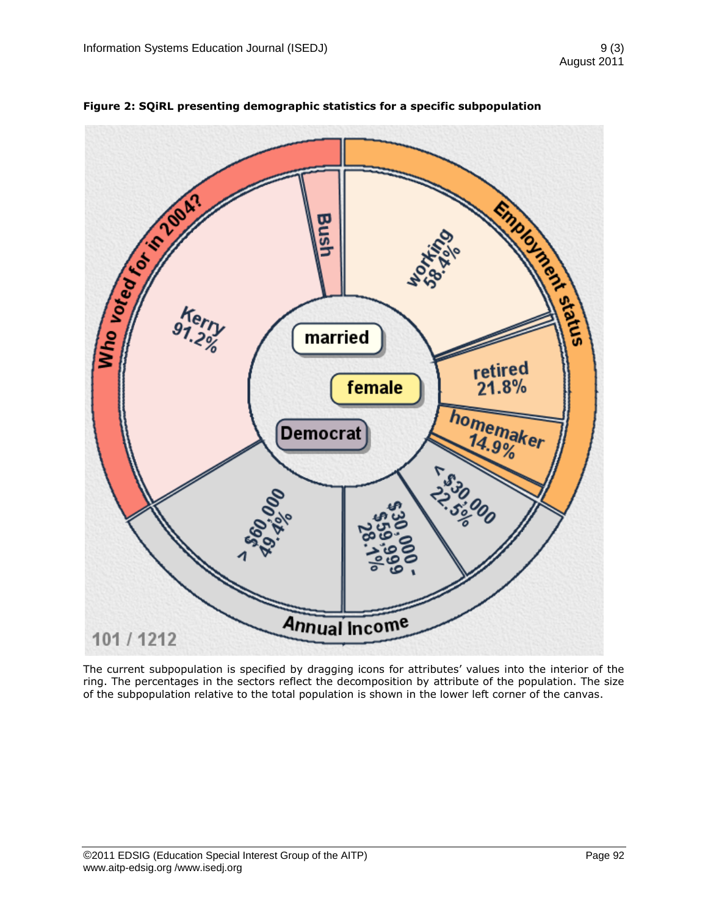

**Figure 2: SQiRL presenting demographic statistics for a specific subpopulation**

The current subpopulation is specified by dragging icons for attributes' values into the interior of the ring. The percentages in the sectors reflect the decomposition by attribute of the population. The size of the subpopulation relative to the total population is shown in the lower left corner of the canvas.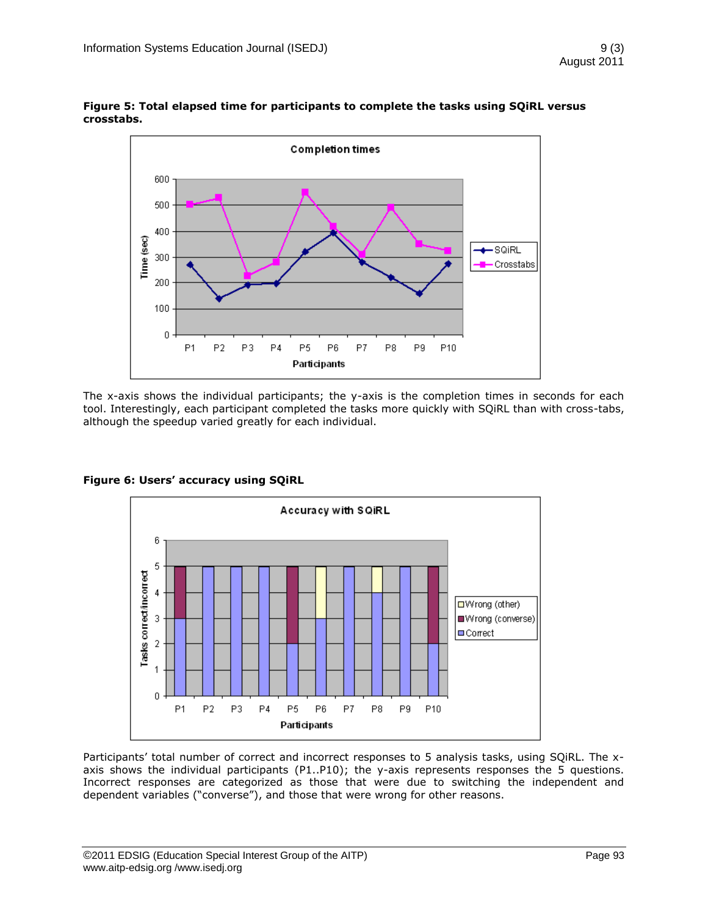

**Figure 5: Total elapsed time for participants to complete the tasks using SQiRL versus crosstabs.**

The x-axis shows the individual participants; the y-axis is the completion times in seconds for each tool. Interestingly, each participant completed the tasks more quickly with SQiRL than with cross-tabs, although the speedup varied greatly for each individual.



**Figure 6: Users" accuracy using SQiRL**

Participants' total number of correct and incorrect responses to 5 analysis tasks, using SQiRL. The xaxis shows the individual participants (P1..P10); the y-axis represents responses the 5 questions. Incorrect responses are categorized as those that were due to switching the independent and dependent variables ("converse"), and those that were wrong for other reasons.